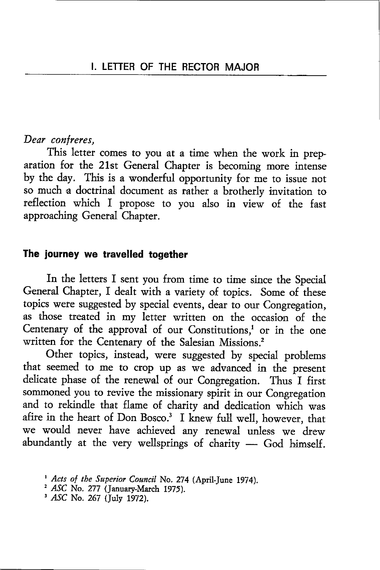### Dear confreres,

This letter comes to you at a time when the work in preparation for the 21st General Chapter is becoming more inrense by the day. This is a wonderful opportunity for me to issue nor so much a doctrinal document as rather a brotherly invitation to reflection which I propose to you also in view of the fast approaching General Chapter.

### The journey we travelled together

In the letters I sent you from time to time since the Special General Chapter, I dealt with a variety of topics. Some of these topics were suggested by special events, dear to our Congregation, as those treated in my letter written on the occasion of the Centenary of the approval of our Constitutions,<sup>1</sup> or in the one written for the Centenary of the Salesian Missions.<sup>2</sup>

Other topics, instead, were suggested by special problems that seemed to me to crop up as we advanced in the present delicate phase of the renewal of our Congregation. Thus I first sommoned you to revive the missionary spirit in our Congregation and to rekindle that flame of charity and dedication which was afire in the heart of Don Bosco.<sup>3</sup> I knew full well, however, that we would never have achieved any renewal unless we drew abundandy at the very wellsprings of charity — God himself.

 $3$  ASC No. 267 (July 1972).

<sup>&</sup>lt;sup>1</sup> Acts of the Superior Council No. 274 (April-June 1974).

 $2$  ASC No. 277 (January-March 1975).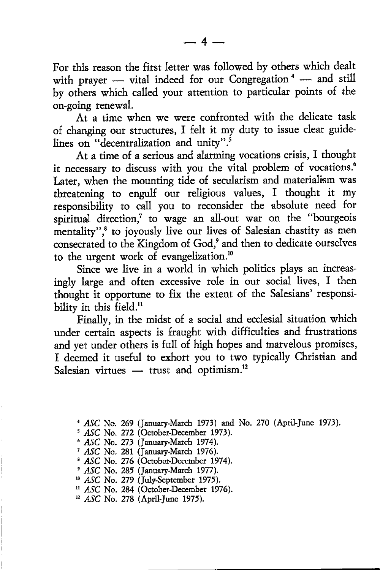For this reason the first letter was followed by others which dealt with prayer — vital indeed for our Congregation<sup>4</sup> — and still with prayer — vital indeed for our congregation — and still<br>by others which called your attention to particular points of the on-going renewal.

At a time when we were confronted with the delicate task of changing our structures, I felt it my duty to issue clear guidelines on "decentralization and unity".<sup>5</sup>

At a time of a serious and alarming vocations crisis, I thought it necessary to discuss with you the vital problem of vocations.<sup>6</sup> Later, when the mounting tide of secularism and materialism was threatening to engulf our religious values, I thought it my responsibility to call you to reconsider the absolute need for spiritual direction, $\bar{y}$  to wage an all-out war on the "bourgeois mentality",<sup>8</sup> to joyously live our lives of Salesian chastity as men consecrated to the Kingdom of God,<sup>9</sup> and then to dedicate ourselves to the urgent work of evangelization.<sup>10</sup>

Since we live in a world in which politics plays an increasingly large and often excessive role in our social lives, I then thought it opportune to fix the extent of the Salesians' responsibility in this field.<sup>11</sup>

Finally, in the midst of a social and ecclesial situation which under certain aspects is fraught with difficulties and frustrations and yet under othets is full of high hopes and marvelous promises, I deemed it useful to exhort you to two typically Christian and Salesian virtues — trust and optimism.<sup>1</sup>

ASC No. 269 (January-March 1973) and No. 270 (April-June 1973)

ASC No. 272 (October-December 1973).

ASC No. 273 (January-March 1974).

ASC No. 281 (January-March 1976)

ASC No. 276 (October-December 1974).

ASC No. 285 (January-March 1977).

<sup>10</sup> ASC No. 279 (July-September 1975).

<sup>11</sup> ASC No. 284 (October-December 1976).

<sup>12</sup> ASC No. 278 (April-June 1975).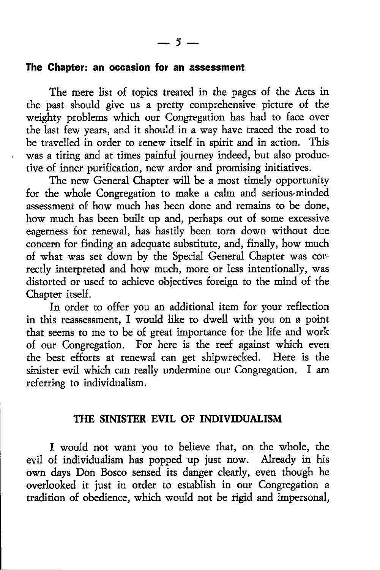## The Ghapter: an occasion for an assessment

The mere list of topics treated in the pages of the Acts in the past should give us a pretty comprehensive picture of the weighty problems which our Congregation has had to face over the last few years, and it should in a way have traced the road to be travelled in order to renew itself in spirit and in action. This was a tiring and at times painful journey indeed, but also productive of inner purification, new ardor and promising initiatives.

The new General Chapter will be a most timely opportunity for the whole Congregation to make a calm and serious-minded assessment of how much has been done and remains to be done, how much has been built up and, perhaps out of some excessive eagerness for renewal, has hastily been torn down without due concenn for finding an adequate substitute, and, finally, how much of what was set down by the Special General Chapter was correctly interpreted and how much, more or less intentionally, was distorted or used to achieve obiectives foreign to the mind of the Chapter itself.

In order to offer you an additional item for your reflection in this reassessment, I would like to dwell with you on a point that seems to me to be of great importance for the life and work of our Congregation. For here is the reef against which even the best efforts at renewal can get shipwrecked, Here is the sinister evil which can really undermine our Congregation. I am referring to individualism.

## THE SINISTER EVIL OF INDIVIDUALISM

I would not want you to believe that, on the whole, the evil of individualism has poppd up iust now. Already in his own days Don Bosco sensed its danger clearly, even though he overlooked it just in order to establish in our Congregation a tradition of obedience, which would not be rigid and impersonal,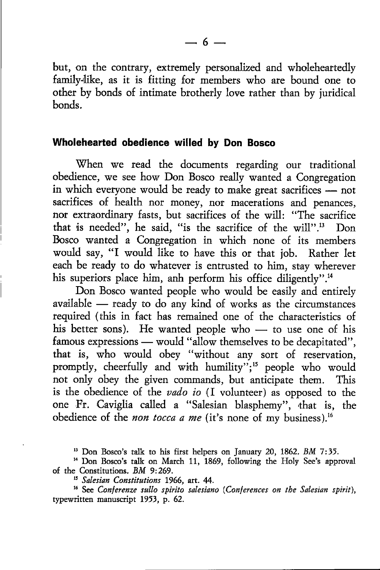but, on the contrary, extremely personalized and wholeheartedly family-like, as it is fitting for members who are bound one to other by bonds of intimate brotherly love rather than by iuridical bonds.

## Wholehearted obedience willed by Don Bosco

When we read the documents regarding our traditional obedience, we see how Don Bosco really wanted a Congregation in which everyone would be ready to make great sacrifices nor m which everyone would be ready to make great sacrifices - not<br>sacrifices of health nor money, nor macerations and penances nor extraordinary fasts, but sacrifices of the will: "The sacrifice that is needed", he said, "is the sacrifice of the will".<sup>13</sup> Don Bosco wanted a Congregation in which none of its members would say, "I would like to have this or that job. Rather let each be ready to do whatever is entusted to him, stay wherever his superiors place him, anh perform his office diligently".<sup>14</sup>

Don Bosco wanted people who would be easily and entirely available — ready to do any kind of works as the circumstances available – ready to do any kind of works as the chemistances his better sons). He wanted people who — to use one of his famous expressions — would "allow themselves to be decapitated" that is, who would obey "without any sort of reservation, promptly, cheerfully and with humility";<sup>15</sup> people who would not only obey the given commands, but anticipate them. This is the obedience of the vado io (I volunteer) as opposed to the one Fr. Caviglia called a "Salesian blasphemy", that is, the obedience of the *non tocca a me* (it's none of my business).<sup>16</sup>

<sup>13</sup> Don Bosco's talk to his first helpers on January 20, 1862. BM 7:35.

<sup>14</sup> Don Bosco's talk on March 11, 1869, following the Holy See's approval of the Constitutions. BM 9:269.

<sup>15</sup> Salesian Constitutions 1966, art. 44.

 $16$  See Conferenze sullo spirito salesiano (Conferences on the Salesian spirit), typewtitten manuscript 1953, p. 62.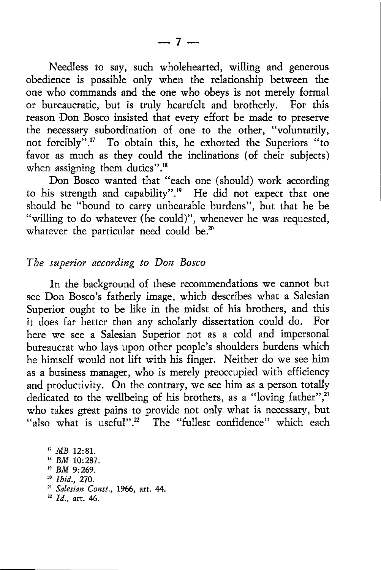Needless to say, such wholehearted, willing and generous obedience is possible only when the relationship between the one who commands and the one who obeys is not merely formal or bureaucratic, but is truly heartfelt and brotherly. For this reason Don Bosco insisted that every effort be made to preserve the necessary subordination of one to the other, "voluntarily, not forcibly".!7 To obtain this, he exhorted the Superiors "to favor as much as they could the inclinations (of their subjects) when assigning them duties".<sup>18</sup>

Don Bosco wanted that "each one (should) work according to his strength and capability".<sup>19</sup> He did not expect that one should be "bound to carry unbearable burdens", but that he be "willing to do whatever (he could)", whenever he was requested, whatever the particular need could be. $20$ 

### The superior according to Don Bosco

In the background of these recommendations we cannot but see Don Bosco's fatherly image, which describes what a Salesian Superior ought to be like in the midst of his brothers, and this it does far better than any scholarly dissettation could do. For here we see a Salesian Superior not as a cold and impersonal bureaucrat who lays upon other people's shoulders burdens which he himself would not Iift with his finger. Neither do we see him as a business manager, who is merely preoccupied with efficiency and productivity. On the contrary, we see him as a person totally dedicated to the wellbeing of his brothers, as a "loving father",<sup>21</sup> who takes great pains to provide not only what is necessary, but "also what is useful".<sup>2</sup> The "fullest confidence" which each

'7 MB 12:81. !8 BM 10:287. <sup>19</sup> BM 9:269. <sup>20</sup> *Ibid.*, 270. <sup>21</sup> Salesian Const., 1966, art. 44.  $^{12}$  Id., art. 46.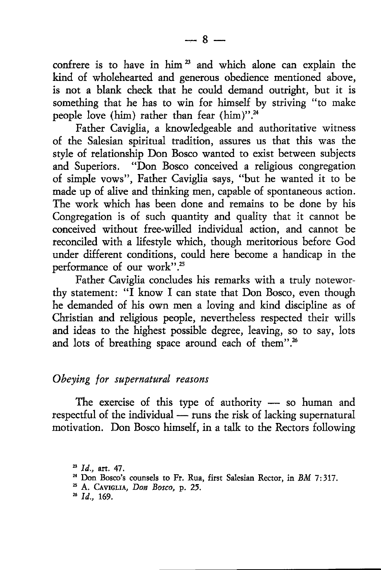confrere is to have in him<sup>23</sup> and which alone can explain the kind of wholehearted and generous obedience mentioned above, is not a blank check that he could demand outright, but it is something that he has to win for himself by striving "to make people love (him) rather than fear (him)".<sup>24</sup>

Father Caviglia, a knowledgeable and authoritative witness of the Salesian spiritual ttadition, assures us that this was the style of relationship Don Bosco wanted to exist between subjects and Superiors. "Don Bosco conceived a religious congregation of simple vows", Father Caviglia says, "but he wanted it to be made up of alive and thinking men, capable of spontaneous action. The work which has been done and remains to be done by his Congregation is of such quantity and quality that it cannot be conceived without free-willed individual action, and cannot be reconciled with a lifestyle which, though meritorious before God under different conditions, could here become a handicap in the performance of our work".<sup>25</sup>

Father Caviglia concludes his remarks with a truly noteworthy statement: "I know I can state that Don Bosco, even though he demanded of his own men a loving and kind discipline as of Christian and religious people, nevertheless respected their wills and ideas to the highest possible degree, leaving, so to say, lots and lots of breathing space around each of them".<sup>26</sup>

#### Obeying for supernatural reasons

The exercise of this type of authority  $-$  so human and respectful of the individual — runs the risk of lacking supernatural respectuu of the marviolal — runs the risk of lacking supernatural<br>motivation. Don Bosco himself, in a talk to the Rectors following

- <sup>23</sup> Id., art. 47.<br><sup>24</sup> Don Bosco's counsels to Fr. Rua, first Salesian Rector, in BM 7:317.<br><sup>25</sup> A. Caviglia, *Don Bosco*, p. 25.
- 
- $^{26}$  Id., 169.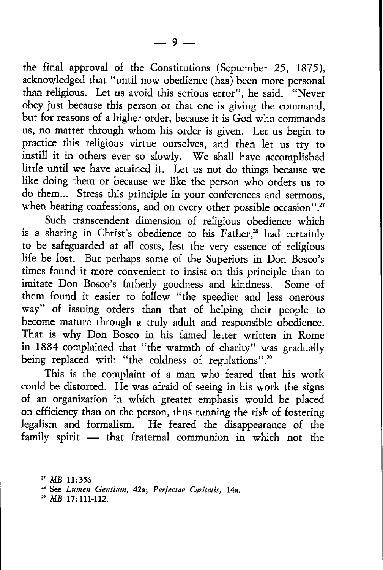the final approval of the Constitutions (September 25, 1875), acknowledged that "until now obedience (has) been more personal than religious. Let us avoid this serious error", he said. "Never obey just because this person or that one is giving the command, but for feasons of a higher order, because it is God who commands us, no matter through whom his order is given. Let us begin to practice this religious virtue ourselves, and then let us try ro instill it in others ever so slowly. We shall have accomplished little until we have attained it. Let us not do things because we like doing them or because we like the person who orders us to do them... Stress this principle in your conferences and sermons, when hearing confessions, and on every other possible occasion".<sup>27</sup>

Such transcendent dimension of religious obedience which is a sharing in Christ's obedience to his Father.<sup>28</sup> had certainly to be safeguarded at all costs, lest the very essence of religious life be lost. But perhaps some of the Superiors in Don Bosco's times found it more convenienr to insist on this principle than to imitate Don Bosco's fatherly goodness and kindness. Some of them found it easier to follow "the speedier and less onerous way" of issuing orders than that of helping their people to become mature through a truly adult and responsible obedience. That is why Don Bosco in his famed letter written in Rome in 1884 complained that "the warmth of charity" was gradually being replaced with "the coldness of regulations".<sup>29</sup>

This is the complaint of a man who feared that his work could be distorted. He was afraid of seeing in his work the signs of an orgarization in which greater emphasis would be placed on efficiency than on the person, thus running the risk of fostering legalism and formalism. He feared the disappearance of the family spirit that fraternal communion in which not the

<sup>27</sup> MB 11:356<br><sup>28</sup> See Lumen Gentium, 42a; Perfectae Caritatis, 14a.

 $^{29}$  MB 17:111-112.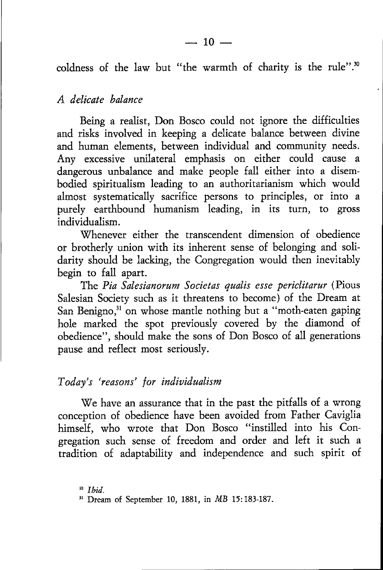coldness of the law but "the warmth of charity is the rule".<sup>30</sup>

### A delicate balance

Being a realist, Don Bosco could not ignore the difficulties and risks involved in keeping a delicate balance between divine and human elements, between individual and community needs. Any excessive unilateral emphasis on either could cause <sup>a</sup> dangerous unbalance and make people fall either into a disembodied spiritualism leading to an authoritatianism which would almost systematically sacrifice persons to principles, or into <sup>a</sup> purely earthbound humanism leading, in its turn, to gross individualism.

Whenever either the transcendent dimension of obedience or brotherly union with its inherent sense of belonging and solidarity should be lacking, the Congregation would then inevitably begin to fall apart.

The Pia Salesianorum Societas qualis esse periclitarur {Pious Salesian Society such as it threatens to become) of the Dream at San Benigno,<sup>31</sup> on whose mantle nothing but a "moth-eaten gaping hole marked the spot previously covered by the diamond of obedience", should make the sons of Don Bosco of all generations pause and reflect most seriously.

## Today's 'reasons' for individualism

We have an assurance that in the past the pitfalls of a wrong conception of obedience have been avoided from Father Caviglia himself, who wrote that Don Bosco "instilled into his Con' gregation such sense of freedom and order and left it such <sup>a</sup> tradition of. adaptability and independence and such spirit of

<sup>30</sup> Ibid.

<sup>&</sup>lt;sup>31</sup> Dream of September 10, 1881, in *MB* 15:183-187.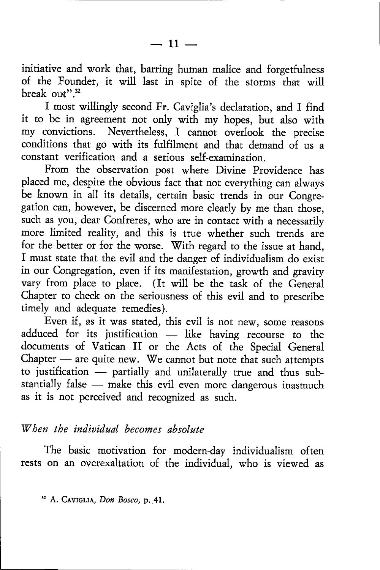initiative and work that, barring human malice and forgetfulness of the Founder, it will last in spite of the srorms that will break out".<sup>32</sup>

I most willingly second Fr. Caviglia's declaration, and I find it to be in agreement not only with my hopes, but also with my convictions. Nevertheless, I cannot overlook the precise conditions that go with its fulfilment and that demand of us <sup>a</sup> constant verification and a serious self-examination.

From the observation post where Divine Providence has placed me, despite the obvious fact that not everything can always be known in all its details, certain basic rends in our Congregation can, however, be discerned more clearly by me than those, such as you, dear Confreres, who are in contact with a necessarily more limited reality, and this is true whether such rrends are for the better or for the worse. With regard to the issue at hand, f must state that the evil and the danger of individualism do exist in our Congregation, even if its manifestarion, growth and graviry vary from place to place. (It will be the task of the General Chapter to check on the seriousness of this evil and to prescribe timely and adequate remedies).

Even if, as it was stated, this evil is not new, some reasons adduced for its justification like having recourse to the - documents of Vatican II or the Acts of the Special General Chapter — are quite new. We cannot but note that such attempts enapter — are quite new. We cannot but note that such attempts<br>to justification — partially and unilaterally true and thus subto justification – partially and unnaterally true and thus sub-<br>stantially false – make this evil even more dangerous inasmuch stantiary raise – make this evil even more eas it is not perceived and recognized as such.

# When the individual becomes absolute

The basic motivation for modern-day individualism often rests on an overexaltation of the individual, who is viewed as

<sup>32</sup> A. CAVIGLIA, Don Bosco, p. 41.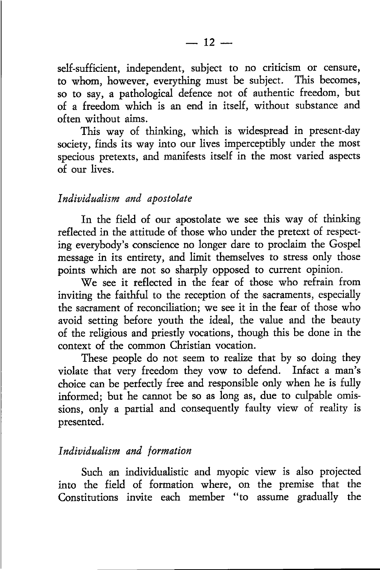self-sufficient, independent, subject to no criticism or censure, to whom, however, everything must be subject. This becomes, so to say, a pathological defence not of authentic freedom, but of a freedom which is an end in itself, without substance and often without aims.

This way of thinking, which is widespread in present-day society, finds its way into our lives imperceptibly under the most specious pretexts, and manifests itself in the most varied aspects of our lives.

#### Individualism and apostolate

In the field of our apostolate we see this way of thinking reflected in the attitude of those who under the pretext of respecting everybody's conscience no longer dare to ptoclaim the Gospel message in its entirety, and limit themselves to stress only those points which are not so sharply opposed to curent opinion.

We see it reflected in the fear of those who refrain from inviting the faithful to the reception of the sacraments, especially the sacrament of reconciliation; we see it in the fear of those who avoid setting before youth the ideal, the value and the beauty of the religious and priestly vocations, though this be done in the context of the common Christian vocation.

These people do not seem to realize that by so doing they violate that very freedom they vow to defend. Infact a man's choice can be perfectly free and responsible only when he is fully informed; but he cannot be so as long as, due to culpable omissions, only a patial and consequently faulty view of realiry is presented.

### Individualism and formation

Such an individualistic and myopic view is also projected into the field of formation where, on the premise that the Constitutions invite each member "to assume gradually the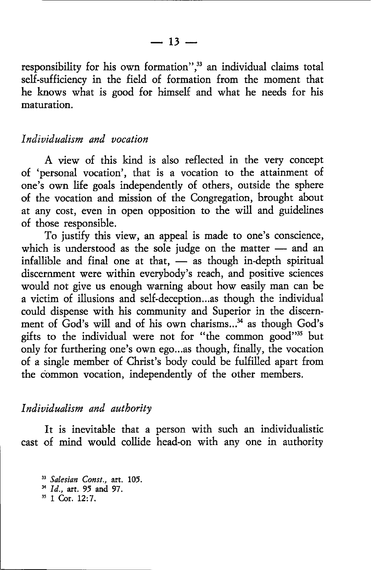responsibility for his own formation",<sup>33</sup> an individual claims total self-sufficiency in the field of formation from the moment that he knows what is good for himself and what he needs for his maturation.

### Individualism and vocation

A view of this kind is also reflected in the very concept of 'personal vocation', that is a vocation to the attainment of one's own life goals independently of others, outside the sphere of the vocation and mission of the Congregation, brought about at any cost, even in open opposition to the will and guidelines of those responsible.

To justify this view, an appeal is made to one's conscience, which is understood as the sole judge on the matter — and an which is understood as the sole judge of the matter  $-$  and all infallible and final one at that,  $-$  as though in-depth spiritual discernment were within everybody's reach, and positive sciences would not give us enough warning about how easily man can be a victim of illusions and self-deception...as though the individual could dispense with his community and Superior in the discernment of God's will and of his own charisms...<sup>34</sup> as though God's gifts to the individual were not for "the common good"<sup>35</sup> but only for furthering one's own ego...as though, finally, the vocation of a single member of Christ's body could be fulfilled apart from the common vocation, independently of the other members.

#### Individualism and authority

It is inevitable that a person with such an individualistic cast of mind would collide head-on with any one in authority

<sup>33</sup> Salesian Const., art. 105. <sup>34</sup> Id., art. 95 and 97.  $35$  1 Cor. 12:7.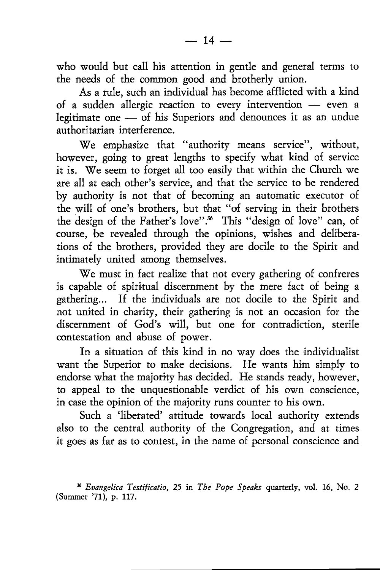who would but call his attention in gentle and general terms to the needs of the common good and brotherly union.

As a rule, such an individual has become afflicted with a kind of a sudden allergic reaction to every intervention - even a  $\frac{1}{2}$  a sudden analytic reaction to every intervention  $\frac{1}{2}$  even a egammate one - or ins-

We emphasize that "authority means service", without, however, going to great lengths to specify what kind of service it is. We seem to forget all too easily that within the Church we arc all at each other's service, and that the service to be rendered by authority is not that of becoming an automatic executor of the will of one's brothers, but that "of serving in their brothers the design of the Father's love".<sup>36</sup> This "design of love" can, of course, be revealed through the opinions, wishes and deliberations of the brothers, provided they are docile to the Spirir and intimately united among themselves.

We must in fact realize that not every gathering of confreres is capable of spiritual discernment by the mere fact of being <sup>a</sup> gathering... If the individuals are not docile to the Spirit and not united in charity, their gathering is not an occasion for the discernment of God's will, but one for contradiction, sterile contestation and abuse of power,

In a situation of this kind in no way does the individualist want the Superior to make decisions. He wants him simply to endorse what the majority has decided. He stands ready, however, to appeal to the unquestionable verdict of his own conscience, in case the opinion of the majority runs counter to his own.

Such a 'liberated' attitude towards local authority extends also to the central authority of the Congregation, and at times it goes as far as to contest, in the name of personal conscience and

<sup>\*</sup> Eoangelica Testificatio, 25 in The Pope Speaks quaterly, vol. 16, No. <sup>2</sup> (Summer '71), p. 117.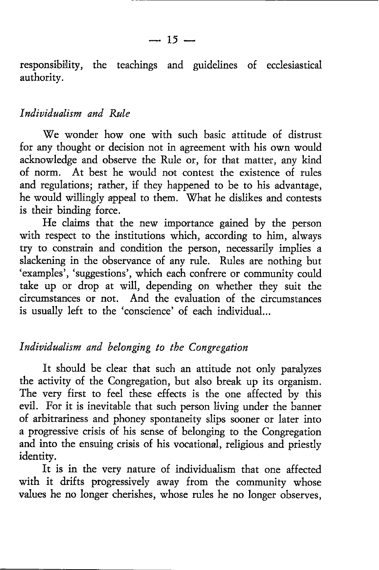responsibility, the teachings and guidelines of ecclesiastical authority.

#### Individualism and Rule

We wonder how one with such basic attitude of distrust for any thought or decision not in agreement with his own would acknowledge and observe the Rule or, for that matter, any kind of norm. At best he would not contest the existence of rules and regulations; rather, if they happened to be to his advantage, he would willingly appeal to them. What he dislikes and contests is theit binding force.

He claims that the new importance gained by the person with respect to the institutions which, according to him, always try to constrain and condition the person, necessarily implies <sup>a</sup> slackening in the observance of any rule. Rules are nothing but 'examples', 'suggestions', which each confrere or community could take up or drop at will, depending on whether they suit the citcumstances or not. And the evaluation of the circumstances is usually left to the 'conscience' of each individual...

# Individualism and belonging to the Congregation

It should be clear that such an attitude not only paralyzes the activity of the Congregation, but also break up its organism. The very first to feel these effects is the one affected by this evil. For it is inevitable that such person living under the banner of. arbttrainess and phoney spontaneity slips sooner or later into a progressive crisis of his sense of belonging to the Congregation and into the ensuing crisis of his vocational, religious and priestly identity.

It is in the very nature of individualism that one affected with it drifts progressively away from the community whose values he no longer cherishes, whose rules he no longer observes,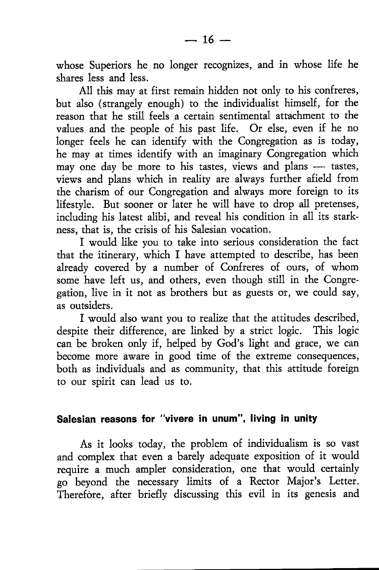whose Superiors he no longer recognizes, and in whose life he shares less and less.

All this may at first remain hidden not only to his confreres, but also (strangely enough) to the individualist himself, for the reason that he still feels a certain sentimental attachment to the values and the people of his past life. Or else, even if he no longer feels he can identify with the Congregation as is today, he may at times identify with an imaginary Congregation which may one day be more to his tastes, views and plans - tastes, hay one day be more to instances, views and plans — tastes,<br>views and plans which in reality are always further afield from the charism of our Congregation and always more foreign to its lifestyle. But sooner or later he will have to drop all pretenses, including his latest alibi, and reveal his condition in all its starkness, that is, the crisis of his Salesian vocation.

I would like you to take into serious consideration the fact that the itinerary, which I have attempted to describe, has been already covered by a number of Confreres of ours, of whom some have left us, and others, even though still in the Congregation, live in it not as brothers but as guests of, we could say, as outsidets.

I would also want you to realize that the attitudes described, despite their difference, are linked by a srict logic. This logic can be broken only if, helped by God's light and grace, we can become more aware in good time of the extreme consequences, both as individuals and as community, that this attitude foreign to our spirit can lead us to.

## Salesian reasons for "vivere in unum", Iiving in unity

As it looks today, the problem of individualism is so vast and complex that even a barely adequate exposition of it would require a much ampler consideration, one that would certainly go beyond the necessary limits of a Rector Major's Letter. Therefore, after briefly discussing this evil in its genesis and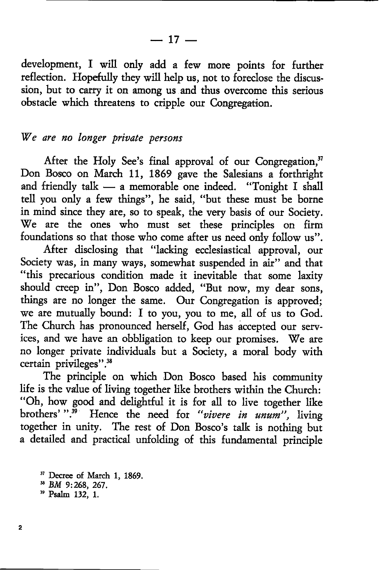development, I will only add a few more points for further reflection. Hopefully they will help us, nor to foreclose the discussion, but to carry it on among us and thus overcome this serious obstacle which threatens to cripple our Congregarion.

#### We are no longer private persons

After the Holy See's final approval of our Congregation,<sup>37</sup> Don Bosco on March 11, 1869 gave the Salesians a forthright and friendly talk — a memorable one indeed. "Tonight I shall and intendity talk – a memorable one indeed. Tomght I shall<br>tell you only a few things", he said, "but these must be borne in mind since they are, so to speak, the very basis of our Society. We are the ones who must set these principles on firm foundations so that those who come after us need only follow us".

After disclosing that "lacking ecclesiastical approval, our Society was, in many ways, somewhat suspended in air" and that "this precarious condition made it inevitable that some laxity should creep in", Don Bosco added, "But now, my dear sons, things are no longer the same. Our Congregation is approved; we are mutually bound: I to you, you to me, all of us to God. The Church has pronounced herself, God has accepted our services, and we have an obbligation to keep our promises. We are no longer private individuals but a Society, a morul body with certain privileges".<sup>38</sup>

The principle on which Don Bosco based his community life is the value of living together like brothers within the Church: "Oh, how good and delightful it is for all to live together like brothers'".<sup>39</sup> Hence the need for "vivere in unum", living together in unity. The rest of Don Bosco's talk is nothing but a detailed and practical unfolding of this fundamental principle

<sup>37</sup> Decree of March 1, 1869.<br><sup>38</sup> BM 9:268, 267.<br><sup>39</sup> Psalm 132, 1.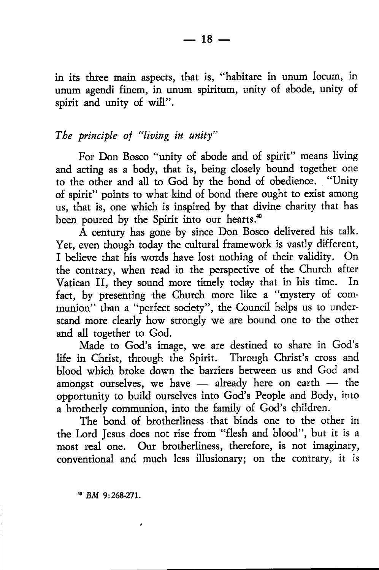in its three main aspects, that is, "habitare in unum locum, in unum agendi finem, in unum spiritum, unity of abode, unity of spirit and unity of will".

## The principle of "living in unity"

For Don Bosco "uniry of abode and of spirit" means living and acting as a body, that is, being closely bound together one to the other and all to God by the bond of obedience. "Unity of spirit" points to what kind of bond there ought to exist among us, that is, one which is inspired by that divine charity that has been poured by the Spirit into our hearts.<sup>40</sup>

A century has gone by since Don Bosco delivered his talk. Yet, even though today the cultural framework is vastly different, I believe that his words have lost nothing of their validiry. On the contrary, when read in the petspective of the Church after Vatican II, they sound more timely today that in his time. In fact, by presenting the Church more like a "mystery of communion" than a "perfect society", the Council helps us to understand more clearly how strongly we are bound one to the other and all together to God.

Made to God's image, we are destined to share in God's life in Christ, through the Spirit. Through Christ's cross and blood which broke down the barriers between us and God and amongst ourselves, we have — already here on earth — the amongst ourselves, we have — already here on earlin — the<br>opportunity to build ourselves into God's People and Body, into a brotherly communion, into the family of God's children.

The bond of brotherliness that binds one to the other in the Lord Jesus does not rise from "flesh and blood", but it is <sup>a</sup> most real one. Our brotherliness, therefore, is not imaginary, conventional and much less illusionary; on the contrary, it is

4 BM 9:26&27I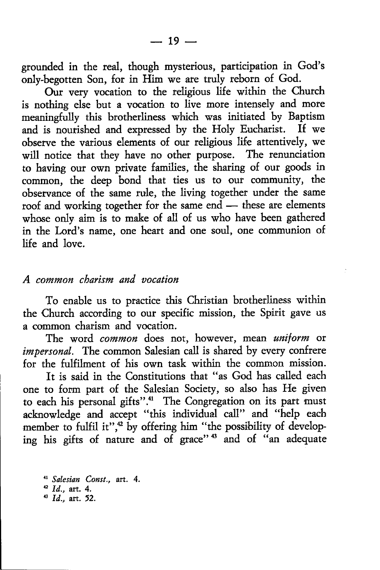grounded in the real, though mysterious, participation in God's only-begotten Son, for in Him we are truly reborn of God.

Our very vocation to the religious life within the Church is nothing else but a vocation to live more intensely and more meaningfully this brotherliness which was initiated by Baptism and is nourished and expressed by the Holy Eucharist. If we observe the various elements of our religious life attentively, we will notice that they have no other purpose. The renunciation to having our own private families, the sharing of our goods in common, the deep bond that ties us to our community, the observance of the same nile, the living together under the same roof and working together for the same end — these are elements whose only aim is to make of all of us who have been gathered whose only aim is to make of all of us who have been gathered in the Lord's name, one heart and one soul, one communion of life and love.

#### A common charism and vocation

To enable us to practice this Christian brotherliness within the Church according to our specific mission, the Spirit gave us a common charism and vocation.

The word common does not, however, mean uniform or impersonal. The common Salesian call is shared by every confrere for the fulfilrnent of his own task within the common mission.

It is said in the Constitutions that "as God has called each one to fonm part of the Salesian Society, so also has He given to each his personal gifts".<sup>41</sup> The Congregation on its part must acknowledge and accept "this individual call" and "help each member to fulfil it", $42$  by offering him "the possibility of developing his gifts of nature and of grace"<sup>43</sup> and of "an adequate

<sup>41</sup> Salesian Const., art. 4. '2 Id., art. 4.  $1d.$  art. 52.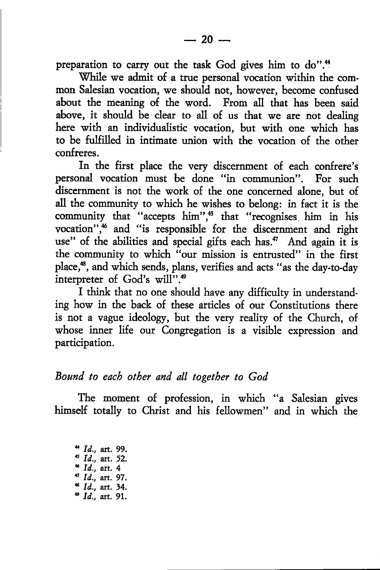preparation to carry out the task God gives him to do".<sup>44</sup>

While we admit of a true personal vocation within the common Salesian vocation, we should not, however, become confused about the meaning of the word. From all that has been said above, it should be clear to all of us that we are not dealing here with an individualistic vocation, but with one which has to be fulfilled in intimate union with the vocarion of the other confreres.

In the first place the very discernment of each confrere's personal vocation must be done "in communion". For such discernment is not the work of the one concerned alone, but of all the community to which he wishes to belong: in fact it is the community that "accepts him",<sup>45</sup> that "recognises him in his vocation",<sup>46</sup> and "is responsible for the discernment and right use" of the abilities and special gifts each has.<sup>47</sup> And again it is the communiry to which "our mission is entrusted" in the first place,<sup>48</sup>, and which sends, plans, verifies and acts "as the day-to-day interpreter of God's will".<sup>49</sup>

I think that no one should have any difficulty in understanding how in the back of these articles of our Constitutions rhere is not a vague ideology, but the very reality of the Church, of whose inner life our Congregation is a visible expression and participation.

#### Bound, to eacb other and all togetber to God

The moment of profession, in which "a Salesian gives himself totally to Christ and his fellowmen" and in which the

4  $Id.,$  art. 99.<br>
43  $Id.,$  art. 52.<br>
45  $Id.,$  art. 4<br>
47  $Id.,$  art. 97.  $48$  Id., art. 34.<br> $49$  Id., art. 91.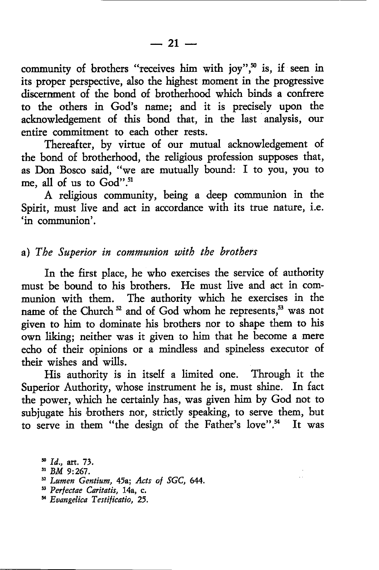community of brothers "receives him with joy",<sup>50</sup> is, if seen in its proper perspective, also the highest moment in the progressive discernment of the bond of brotherhood which binds a confrere to the others in God's name; and it is precisely upon the acknowledgement of this bond that, in the last analysis, our entire commitment to each other rests.

Thereafter, by virtue of our mutual acknowledgement of the bond of brotherhood, the religious profession supposes that, as Don Bosco said, "we are mutually bound: I to you, you to me, all of us to God".<sup>51</sup>

A religious community, being a deep communion in the Spirit, must live and act in accordance with its true nature, i.e. 'in communion'.

## a) The Superior in communion with the brothers

In the first place, he who exercises the service of authority must be bound to his brothers. He must live and act in communion with them. The authority which he exercises in the name of the Church<sup>52</sup> and of God whom he represents.<sup>53</sup> was not given to him to dominate his brothers nor to shape them to his own liking; neither was it given to him that he become a mere echo of their opinions or a mindless and spineless executor of their wishes and wills.

His authority is in itself a limited one. Thtough it the Superior Authority, whose instrument he is, must shine. In fact the power, which he certainly has, was given him by God not to subjugate his brothers nor, strictly speaking, to serve them, but to serve in them "the design of the Father's love".<sup>54</sup> It was

- 
- <sup>52</sup> Lumen Gentium, 45a; Acts of SGC, 644.
- 53 Perfectae Caritatis, 14a, c.
- s Eoangelica Testificatio, 25.

 $n^{\text{so}}$  *Id.*, art. 73.<br><sup>51</sup> *BM* 9:267.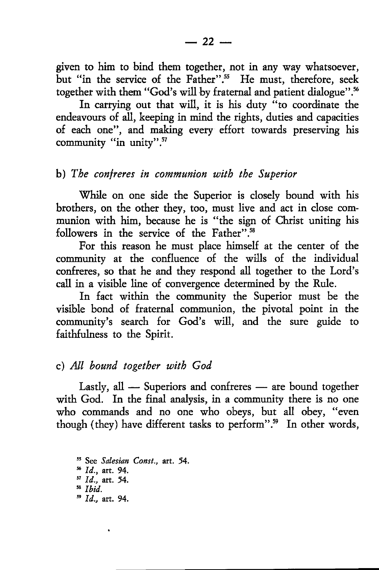given to him to bind them together, not in any way whatsoever, but "in the service of the Father".<sup>55</sup> He must, therefore, seek together with them "God's will by fraternal and patient dialogue".<sup>56</sup>

In carrying out that will, it is his duty "to coordinate the endeavours of all, keeping in mind the rights, duties and capacities of each one", and making every effort towards preserving his community "in unity".<sup>57</sup>

## b) The contreres in communion with the Superior

\7hile on one side the Superior is closely bound with his brothers, on the other they, too, must live and act in close communion with him, because he is "the sign of Christ uniting his followers in the service of the Father".<sup>58</sup>

Fot this reason he must place himself at the center of the community at the confluence of the wills of the individual confreres, so that he and they respond all together to the Lord's call in a visible line of convergence determined by the Rule.

In fact within the community the Superior must be the visible bond of fraternal communion, the pivotal point in the community's search for God's wil, and the sure guide to faithfulness to the Spirit.

# c) All bound together uitb God

Lastly, all — Superiors and confreres — are bound together  $\frac{2}{3}$  with God. In the final analysis, in a community there is no one who commands and no one who obeys, but all obey, "even though (they) have different tasks to perform".<sup>59</sup> In other words,

55 See Salesian Const., art. 54. % Id., art. 94.  $^{57}$  *Id.*, art. 54.  $38$  *Ibid.*  $1d.,$  art. 94.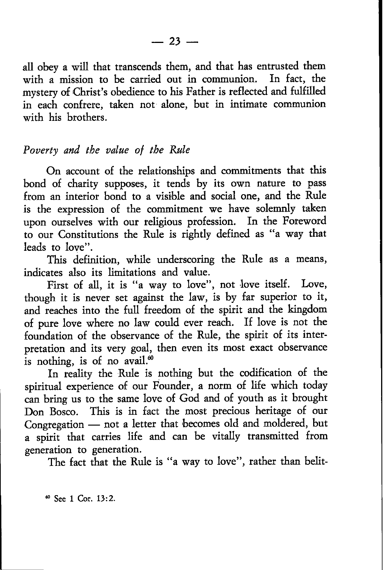all obey a will that transcends them, and that has entrusted them with a mission to be carried out in communion. In fact, the mystery of Christ's obedience to his Father is reflected and fulfilled in each confrete, taken not alone, but in intimate communion with his brothers.

## Poverty and the value of the Rule

On account of the relationships and commitments that this bond of charity supposes, it tends by its own nature to pass from an interior bond to a visible and social one, and the Rule is the expression of the commitment we have solemnly taken upon ourselves with our religious profession. In the Foreword to our Constitutions the Rule is rightly defined as "a way that leads to love".

This definition, while underscoring the Rule as a means, indicates also its limitations and value.

First of all, it is "a way to love", not love itself. Love, though it is never set against the law, is by far superior to it, and reaches into the full freedom of the spirit and the kingdom of pure love where no law could ever readr. If love is not the foundation of the observance of the Rule, the spirit of its interpretation and its very goal, then even its most exact observance is nothing, is of no avail. $60$ 

In reality the Rule is nothing but the codification of the spiritual experience of our Founder, a norm of life which today can bring us to the same love of God and of youth as it brought Don Bosco. This is in fact the most precious heritage of our Congregation — not a letter that becomes old and moldered, but - a spirit that catries life and can be vitally transmitted from generation to generation.

The fact that the Rule is "a way to love", rather than belit-

60 See 1 Cor. 13:2.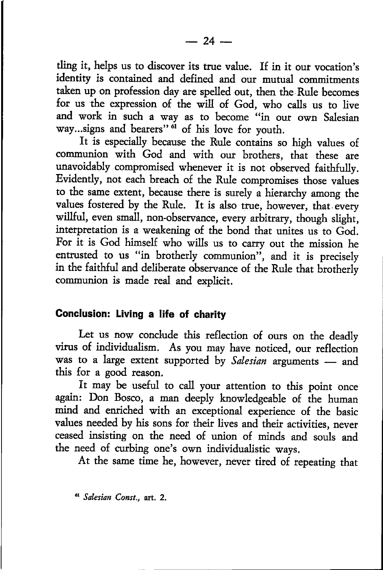tling it, helps us ro discover its true value. If in ir our vocation's identity is contained and defined and our mutual commitments taken up on profession day are spelled out, then the Rule becomes for us the expression of the will of God, who calls us to live and work in such a way as to become "in our own Salesian way...signs and bearers" <sup>of</sup> of his love for youth.

It is especially because the Rule conrains so high values of communion with God and with our brothers, that these are unavoidably compromised whenever it is not observed faithfully. Evidently, not each breach of the Rule compromises those values to the same extent, because there is surely a hierarchy among the values fostered by the Rule. It is also true, however, that every willful, even small, non-observance, every arbitrary, though slight, interpretation is a weakening of the bond that unites us to God. For it is God himself who wills us to carry out the mission he entrusted to us "in brotherly communion", and it is precisely in the faithful and deliberate observance of the Rule that brotherly communion is made real and explicit.

#### Gonclusion: Living a life of charity

Let us now conclude this reflection of ours on the deadly virus of individualism. As you may have noticed, our reflection was to a large extent supported by Salesian arguments — and<br>this for a good reason. this for a good reason.

It may be useful to call your atrention to this point once again: Don Bosco, a man deeply knowledgeable of the human mind and enriched with an exceptional experience of the basic values needed by his sons for their lives and their activities, never ceased insisting on the need of union of minds and souls and the need of curbing one's own individualistic ways.

At the same time he, however, never tired of repeating that

<sup>61</sup> Salesian Const., art. 2.